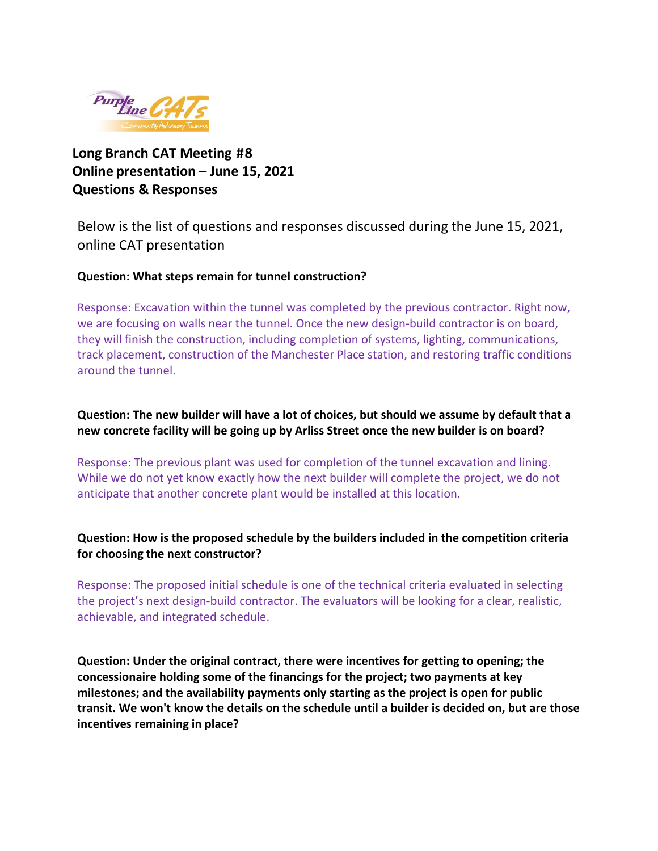

# **Long Branch CAT Meeting #8 Online presentation – June 15, 2021 Questions & Responses**

Below is the list of questions and responses discussed during the June 15, 2021, online CAT presentation

#### **Question: What steps remain for tunnel construction?**

Response: Excavation within the tunnel was completed by the previous contractor. Right now, we are focusing on walls near the tunnel. Once the new design-build contractor is on board, they will finish the construction, including completion of systems, lighting, communications, track placement, construction of the Manchester Place station, and restoring traffic conditions around the tunnel.

# **Question: The new builder will have a lot of choices, but should we assume by default that a new concrete facility will be going up by Arliss Street once the new builder is on board?**

Response: The previous plant was used for completion of the tunnel excavation and lining. While we do not yet know exactly how the next builder will complete the project, we do not anticipate that another concrete plant would be installed at this location.

# **Question: How is the proposed schedule by the builders included in the competition criteria for choosing the next constructor?**

Response: The proposed initial schedule is one of the technical criteria evaluated in selecting the project's next design-build contractor. The evaluators will be looking for a clear, realistic, achievable, and integrated schedule.

**Question: Under the original contract, there were incentives for getting to opening; the concessionaire holding some of the financings for the project; two payments at key milestones; and the availability payments only starting as the project is open for public transit. We won't know the details on the schedule until a builder is decided on, but are those incentives remaining in place?**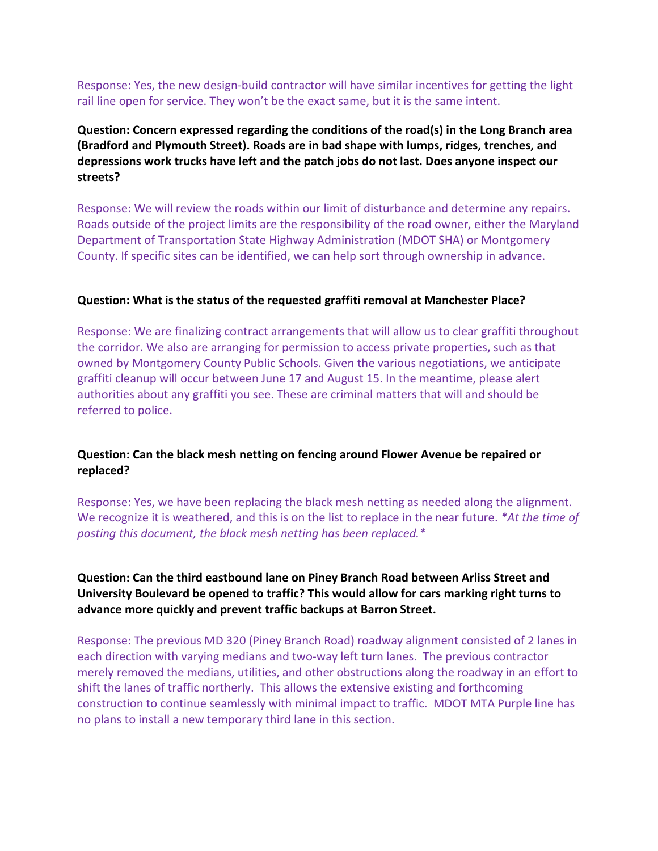Response: Yes, the new design-build contractor will have similar incentives for getting the light rail line open for service. They won't be the exact same, but it is the same intent.

**Question: Concern expressed regarding the conditions of the road(s) in the Long Branch area (Bradford and Plymouth Street). Roads are in bad shape with lumps, ridges, trenches, and depressions work trucks have left and the patch jobs do not last. Does anyone inspect our streets?** 

Response: We will review the roads within our limit of disturbance and determine any repairs. Roads outside of the project limits are the responsibility of the road owner, either the Maryland Department of Transportation State Highway Administration (MDOT SHA) or Montgomery County. If specific sites can be identified, we can help sort through ownership in advance.

#### **Question: What is the status of the requested graffiti removal at Manchester Place?**

Response: We are finalizing contract arrangements that will allow us to clear graffiti throughout the corridor. We also are arranging for permission to access private properties, such as that owned by Montgomery County Public Schools. Given the various negotiations, we anticipate graffiti cleanup will occur between June 17 and August 15. In the meantime, please alert authorities about any graffiti you see. These are criminal matters that will and should be referred to police.

# **Question: Can the black mesh netting on fencing around Flower Avenue be repaired or replaced?**

Response: Yes, we have been replacing the black mesh netting as needed along the alignment. We recognize it is weathered, and this is on the list to replace in the near future. *\*At the time of posting this document, the black mesh netting has been replaced.\**

**Question: Can the third eastbound lane on Piney Branch Road between Arliss Street and University Boulevard be opened to traffic? This would allow for cars marking right turns to advance more quickly and prevent traffic backups at Barron Street.**

Response: The previous MD 320 (Piney Branch Road) roadway alignment consisted of 2 lanes in each direction with varying medians and two-way left turn lanes. The previous contractor merely removed the medians, utilities, and other obstructions along the roadway in an effort to shift the lanes of traffic northerly. This allows the extensive existing and forthcoming construction to continue seamlessly with minimal impact to traffic. MDOT MTA Purple line has no plans to install a new temporary third lane in this section.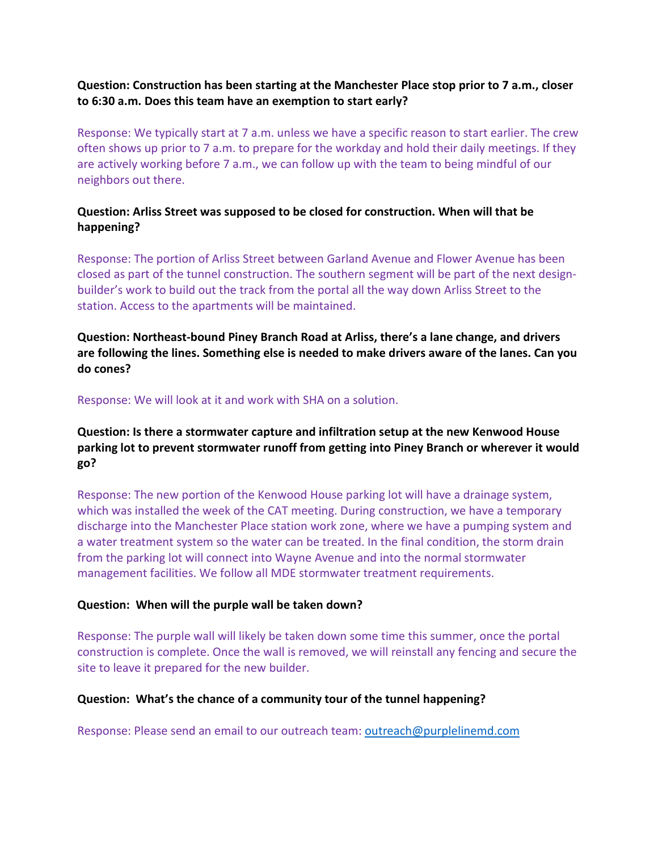### **Question: Construction has been starting at the Manchester Place stop prior to 7 a.m., closer to 6:30 a.m. Does this team have an exemption to start early?**

Response: We typically start at 7 a.m. unless we have a specific reason to start earlier. The crew often shows up prior to 7 a.m. to prepare for the workday and hold their daily meetings. If they are actively working before 7 a.m., we can follow up with the team to being mindful of our neighbors out there.

## **Question: Arliss Street was supposed to be closed for construction. When will that be happening?**

Response: The portion of Arliss Street between Garland Avenue and Flower Avenue has been closed as part of the tunnel construction. The southern segment will be part of the next designbuilder's work to build out the track from the portal all the way down Arliss Street to the station. Access to the apartments will be maintained.

**Question: Northeast-bound Piney Branch Road at Arliss, there's a lane change, and drivers are following the lines. Something else is needed to make drivers aware of the lanes. Can you do cones?** 

#### Response: We will look at it and work with SHA on a solution.

# **Question: Is there a stormwater capture and infiltration setup at the new Kenwood House parking lot to prevent stormwater runoff from getting into Piney Branch or wherever it would go?**

Response: The new portion of the Kenwood House parking lot will have a drainage system, which was installed the week of the CAT meeting. During construction, we have a temporary discharge into the Manchester Place station work zone, where we have a pumping system and a water treatment system so the water can be treated. In the final condition, the storm drain from the parking lot will connect into Wayne Avenue and into the normal stormwater management facilities. We follow all MDE stormwater treatment requirements.

#### **Question: When will the purple wall be taken down?**

Response: The purple wall will likely be taken down some time this summer, once the portal construction is complete. Once the wall is removed, we will reinstall any fencing and secure the site to leave it prepared for the new builder.

#### **Question: What's the chance of a community tour of the tunnel happening?**

Response: Please send an email to our outreach team: [outreach@purplelinemd.com](mailto:outreach@purplelinemd.com)